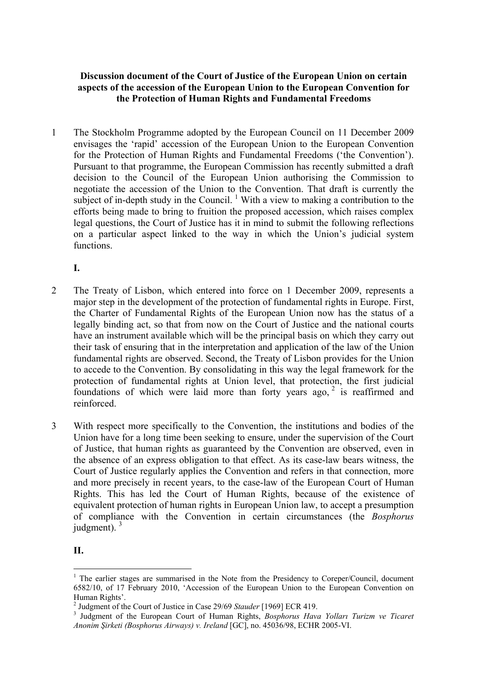## **Discussion document of the Court of Justice of the European Union on certain aspects of the accession of the European Union to the European Convention for the Protection of Human Rights and Fundamental Freedoms**

1 The Stockholm Programme adopted by the European Council on 11 December 2009 envisages the 'rapid' accession of the European Union to the European Convention for the Protection of Human Rights and Fundamental Freedoms ('the Convention'). Pursuant to that programme, the European Commission has recently submitted a draft decision to the Council of the European Union authorising the Commission to negotiate the accession of the Union to the Convention. That draft is currently the subject of in-depth study in the Council.<sup>[1](#page-0-0)</sup> With a view to making a contribution to the efforts being made to bring to fruition the proposed accession, which raises complex legal questions, the Court of Justice has it in mind to submit the following reflections on a particular aspect linked to the way in which the Union's judicial system functions.

**I.**

- 2 The Treaty of Lisbon, which entered into force on 1 December 2009, represents a major step in the development of the protection of fundamental rights in Europe. First, the Charter of Fundamental Rights of the European Union now has the status of a legally binding act, so that from now on the Court of Justice and the national courts have an instrument available which will be the principal basis on which they carry out their task of ensuring that in the interpretation and application of the law of the Union fundamental rights are observed. Second, the Treaty of Lisbon provides for the Union to accede to the Convention. By consolidating in this way the legal framework for the protection of fundamental rights at Union level, that protection, the first judicial foundations of which were laid more than forty years ago,  $2$  is reaffirmed and reinforced.
- 3 With respect more specifically to the Convention, the institutions and bodies of the Union have for a long time been seeking to ensure, under the supervision of the Court of Justice, that human rights as guaranteed by the Convention are observed, even in the absence of an express obligation to that effect. As its case-law bears witness, the Court of Justice regularly applies the Convention and refers in that connection, more and more precisely in recent years, to the case-law of the European Court of Human Rights. This has led the Court of Human Rights, because of the existence of equivalent protection of human rights in European Union law, to accept a presumption of compliance with the Convention in certain circumstances (the *Bosphorus* iudgment).  $3<sup>3</sup>$  $3<sup>3</sup>$

**II.**

 $\overline{a}$ 

<span id="page-0-0"></span><sup>&</sup>lt;sup>1</sup> The earlier stages are summarised in the Note from the Presidency to Coreper/Council, document 6582/10, of 17 February 2010, 'Accession of the European Union to the European Convention on Human Rights'.

<span id="page-0-1"></span><sup>&</sup>lt;sup>2</sup> Judgment of the Court of Justice in Case 29/69 *Stauder* [1969] ECR 419.

<span id="page-0-2"></span><sup>&</sup>lt;sup>3</sup> Judgment of the European Court of Human Rights, *Bosphorus Hava Yolları Turizm ve Ticaret Anonim Şirketi (Bosphorus Airways) v. Ireland* [GC], no. 45036/98, ECHR 2005-VI.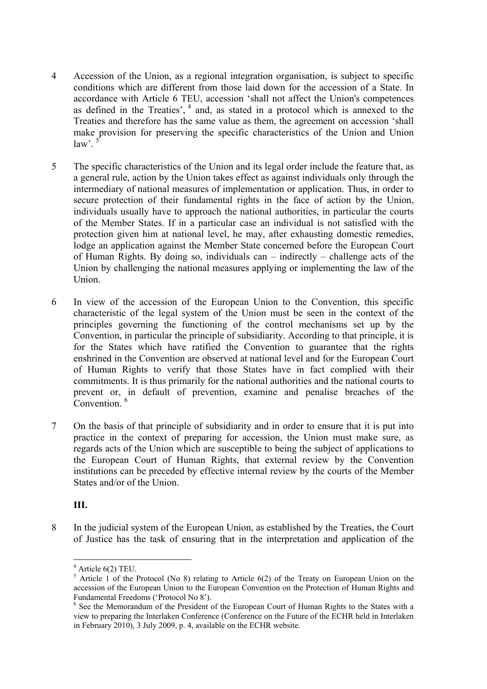- 4 Accession of the Union, as a regional integration organisation, is subject to specific conditions which are different from those laid down for the accession of a State. In accordance with Article 6 TEU, accession 'shall not affect the Union's competences as defined in the Treaties',  $4$  and, as stated in a protocol which is annexed to the Treaties and therefore has the same value as them, the agreement on accession 'shall make provision for preserving the specific characteristics of the Union and Union  $law^{\prime}$ .<sup>5</sup>
- 5 The specific characteristics of the Union and its legal order include the feature that, as a general rule, action by the Union takes effect as against individuals only through the intermediary of national measures of implementation or application. Thus, in order to secure protection of their fundamental rights in the face of action by the Union, individuals usually have to approach the national authorities, in particular the courts of the Member States. If in a particular case an individual is not satisfied with the protection given him at national level, he may, after exhausting domestic remedies, lodge an application against the Member State concerned before the European Court of Human Rights. By doing so, individuals can – indirectly – challenge acts of the Union by challenging the national measures applying or implementing the law of the Union.
- 6 In view of the accession of the European Union to the Convention, this specific characteristic of the legal system of the Union must be seen in the context of the principles governing the functioning of the control mechanisms set up by the Convention, in particular the principle of subsidiarity. According to that principle, it is for the States which have ratified the Convention to guarantee that the rights enshrined in the Convention are observed at national level and for the European Court of Human Rights to verify that those States have in fact complied with their commitments. It is thus primarily for the national authorities and the national courts to prevent or, in default of prevention, examine and penalise breaches of the Convention.<sup>[6](#page-1-2)</sup>
- 7 On the basis of that principle of subsidiarity and in order to ensure that it is put into practice in the context of preparing for accession, the Union must make sure, as regards acts of the Union which are susceptible to being the subject of applications to the European Court of Human Rights, that external review by the Convention institutions can be preceded by effective internal review by the courts of the Member States and/or of the Union.

## **III.**

8 In the judicial system of the European Union, as established by the Treaties, the Court of Justice has the task of ensuring that in the interpretation and application of the

<span id="page-1-1"></span><span id="page-1-0"></span>

<sup>&</sup>lt;sup>4</sup> Article 6(2) TEU.<br><sup>5</sup> Article 1 of the Protocol (No 8) relating to Article 6(2) of the Treaty on European Union on the accession of the European Union to the European Convention on the Protection of Human Rights and Fundamental Freedoms ('Protocol No 8').

<span id="page-1-2"></span><sup>&</sup>lt;sup>6</sup> See the Memorandum of the President of the European Court of Human Rights to the States with a view to preparing the Interlaken Conference (Conference on the Future of the ECHR held in Interlaken in February 2010), 3 July 2009, p. 4, available on the ECHR website.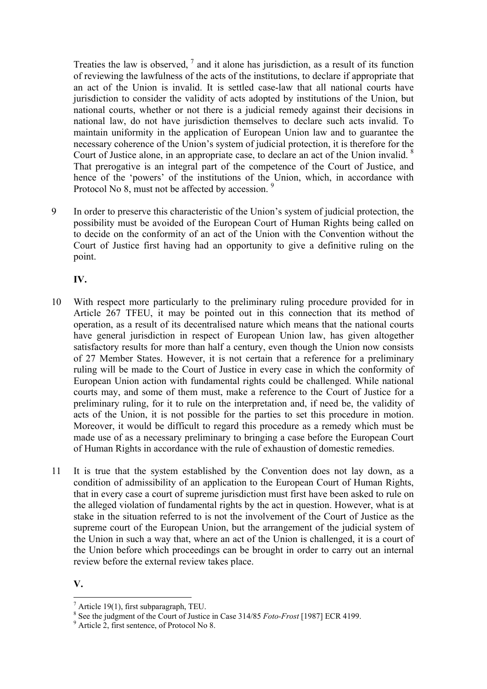Treaties the law is observed,  $\frac{7}{1}$  $\frac{7}{1}$  $\frac{7}{1}$  and it alone has jurisdiction, as a result of its function of reviewing the lawfulness of the acts of the institutions, to declare if appropriate that an act of the Union is invalid. It is settled case-law that all national courts have jurisdiction to consider the validity of acts adopted by institutions of the Union, but national courts, whether or not there is a judicial remedy against their decisions in national law, do not have jurisdiction themselves to declare such acts invalid. To maintain uniformity in the application of European Union law and to guarantee the necessary coherence of the Union's system of judicial protection, it is therefore for the Court of Justice alone, in an appropriate case, to declare an act of the Union invalid.<sup>8</sup> That prerogative is an integral part of the competence of the Court of Justice, and hence of the 'powers' of the institutions of the Union, which, in accordance with Protocol No 8, must not be affected by accession.<sup>[9](#page-2-2)</sup>

9 In order to preserve this characteristic of the Union's system of judicial protection, the possibility must be avoided of the European Court of Human Rights being called on to decide on the conformity of an act of the Union with the Convention without the Court of Justice first having had an opportunity to give a definitive ruling on the point.

**IV.**

- 10 With respect more particularly to the preliminary ruling procedure provided for in Article 267 TFEU, it may be pointed out in this connection that its method of operation, as a result of its decentralised nature which means that the national courts have general jurisdiction in respect of European Union law, has given altogether satisfactory results for more than half a century, even though the Union now consists of 27 Member States. However, it is not certain that a reference for a preliminary ruling will be made to the Court of Justice in every case in which the conformity of European Union action with fundamental rights could be challenged. While national courts may, and some of them must, make a reference to the Court of Justice for a preliminary ruling, for it to rule on the interpretation and, if need be, the validity of acts of the Union, it is not possible for the parties to set this procedure in motion. Moreover, it would be difficult to regard this procedure as a remedy which must be made use of as a necessary preliminary to bringing a case before the European Court of Human Rights in accordance with the rule of exhaustion of domestic remedies.
- 11 It is true that the system established by the Convention does not lay down, as a condition of admissibility of an application to the European Court of Human Rights, that in every case a court of supreme jurisdiction must first have been asked to rule on the alleged violation of fundamental rights by the act in question. However, what is at stake in the situation referred to is not the involvement of the Court of Justice as the supreme court of the European Union, but the arrangement of the judicial system of the Union in such a way that, where an act of the Union is challenged, it is a court of the Union before which proceedings can be brought in order to carry out an internal review before the external review takes place.

## **V.**  $\overline{a}$

<span id="page-2-0"></span> $^7$  Article 19(1), first subparagraph, TEU.

<span id="page-2-1"></span><sup>&</sup>lt;sup>8</sup> See the judgment of the Court of Justice in Case 314/85 *Foto-Frost* [1987] ECR 4199.

<span id="page-2-2"></span><sup>&</sup>lt;sup>9</sup> Article 2, first sentence, of Protocol No 8.